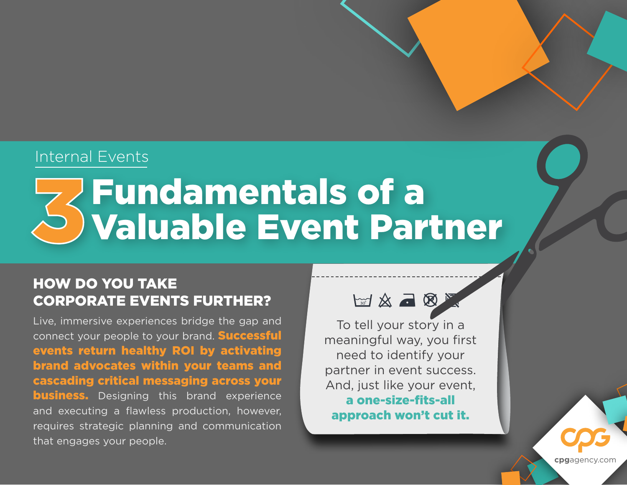### Internal Events

# Fundamentals of a Valuable Event Partner

### HOW DO YOU TAKE CORPORATE EVENTS FURTHER?

Live, immersive experiences bridge the gap and connect your people to your brand. **Successful** events return healthy ROI by activating brand advocates within your teams and cascading critical messaging across your **business.** Designing this brand experience and executing a flawless production, however, requires strategic planning and communication that engages your people.



To tell your story in a meaningful way, you first need to identify your partner in event success. And, just like your event, a one-size-fits-all approach won't cut it.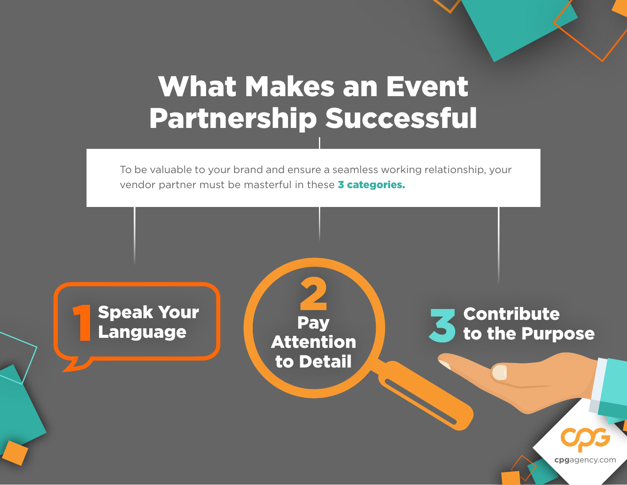## What Makes an Event Partnership Successful

To be valuable to your brand and ensure a seamless working relationship, your vendor partner must be masterful in these **3 categories.** 

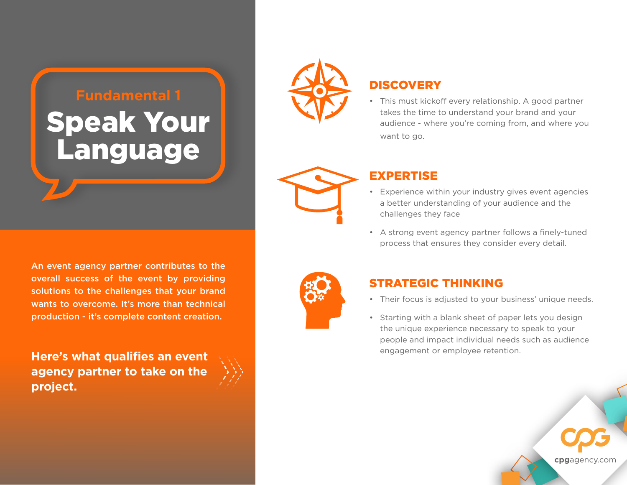#### **Fundamental 1**

## Speak Your Language



#### **DISCOVERY**

• This must kickoff every relationship. A good partner takes the time to understand your brand and your audience - where you're coming from, and where you want to go.



#### EXPERTISE

- Experience within your industry gives event agencies a better understanding of your audience and the challenges they face
- A strong event agency partner follows a finely-tuned process that ensures they consider every detail.



#### STRATEGIC THINKING

- Their focus is adjusted to your business' unique needs.
- Starting with a blank sheet of paper lets you design the unique experience necessary to speak to your people and impact individual needs such as audience engagement or employee retention.

An event agency partner contributes to the overall success of the event by providing solutions to the challenges that your brand wants to overcome. It's more than technical production - it's complete content creation.

**Here's what qualifies an event agency partner to take on the project.**

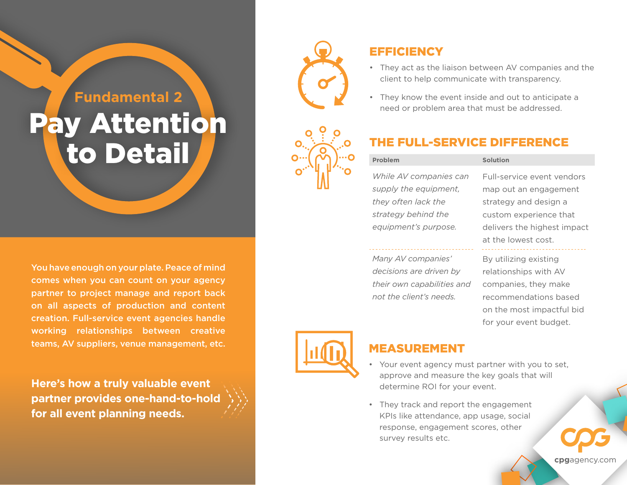#### **Fundamental 2**

### y Attentio<mark>n</mark> **to Detail Comprehensive Direct-SERVICE DIR**

You have enough on your plate. Peace of mind comes when you can count on your agency partner to project manage and report back on all aspects of production and content creation. Full-service event agencies handle working relationships between creative teams, AV suppliers, venue management, etc.

**Here's how a truly valuable event partner provides one-hand-to-hold for all event planning needs.**





#### **EFFICIENCY**

- They act as the liaison between AV companies and the client to help communicate with transparency.
- They know the event inside and out to anticipate a need or problem area that must be addressed.

#### THE FULL-SERVICE DIFFERENCE

#### *While AV companies can supply the equipment, they often lack the strategy behind the equipment's purpose.*

*Many AV companies' decisions are driven by their own capabilities and not the client's needs.*

Full-service event vendors map out an engagement strategy and design a custom experience that delivers the highest impact at the lowest cost.

#### By utilizing existing relationships with AV companies, they make recommendations based on the most impactful bid for your event budget.



#### MEASUREMENT

- Your event agency must partner with you to set, approve and measure the key goals that will determine ROI for your event.
- They track and report the engagement KPIs like attendance, app usage, social response, engagement scores, other survey results etc.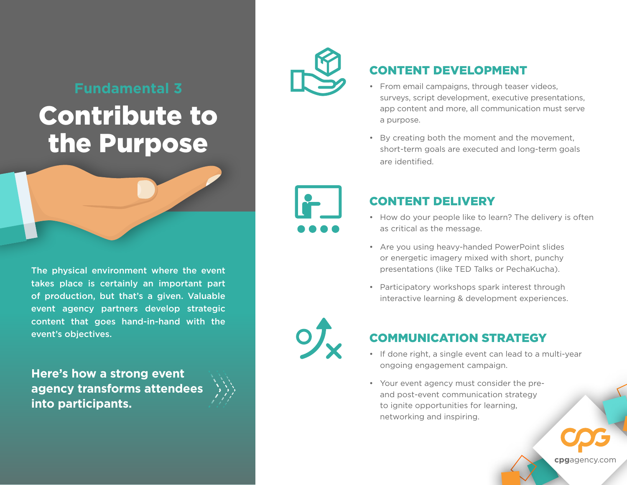#### **Fundamental 3**

### Contribute to the Purpose

The physical environment where the event takes place is certainly an important part of production, but that's a given. Valuable event agency partners develop strategic content that goes hand-in-hand with the event's objectives.

**Here's how a strong event agency transforms attendees into participants.**





#### CONTENT DEVELOPMENT

- From email campaigns, through teaser videos, surveys, script development, executive presentations, app content and more, all communication must serve a purpose.
- By creating both the moment and the movement, short-term goals are executed and long-term goals are identified.



#### CONTENT DELIVERY

- How do your people like to learn? The delivery is often as critical as the message.
- Are you using heavy-handed PowerPoint slides or energetic imagery mixed with short, punchy presentations (like TED Talks or PechaKucha).
- Participatory workshops spark interest through interactive learning & development experiences.



#### COMMUNICATION STRATEGY

- If done right, a single event can lead to a multi-year ongoing engagement campaign.
- Your event agency must consider the preand post-event communication strategy to ignite opportunities for learning, networking and inspiring.